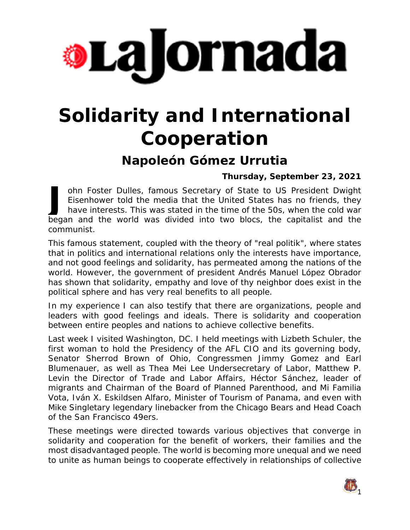

## **Solidarity and International Cooperation**

## **Napoleón Gómez Urrutia**

**Thursday, September 23, 2021**

ohn Foster Dulles, famous Secretary of State to US President Dwight Eisenhower told the media that the United States has no friends, they have interests. This was stated in the time of the 50s, when the cold war ohn Foster Dulles, famous Secretary of State to US President Dwight<br>Eisenhower told the media that the United States has no friends, they<br>have interests. This was stated in the time of the 50s, when the cold war<br>began and communist.

This famous statement, coupled with the theory of "real politik", where states that in politics and international relations only the interests have importance, and not good feelings and solidarity, has permeated among the nations of the world. However, the government of president Andrés Manuel López Obrador has shown that solidarity, empathy and love of thy neighbor does exist in the political sphere and has very real benefits to all people.

In my experience I can also testify that there are organizations, people and leaders with good feelings and ideals. There is solidarity and cooperation between entire peoples and nations to achieve collective benefits.

Last week I visited Washington, DC. I held meetings with Lizbeth Schuler, the first woman to hold the Presidency of the AFL CIO and its governing body, Senator Sherrod Brown of Ohio, Congressmen Jimmy Gomez and Earl Blumenauer, as well as Thea Mei Lee Undersecretary of Labor, Matthew P. Levin the Director of Trade and Labor Affairs, Héctor Sánchez, leader of migrants and Chairman of the Board of Planned Parenthood, and Mi Familia Vota, Iván X. Eskildsen Alfaro, Minister of Tourism of Panama, and even with Mike Singletary legendary linebacker from the Chicago Bears and Head Coach of the San Francisco 49ers.

These meetings were directed towards various objectives that converge in solidarity and cooperation for the benefit of workers, their families and the most disadvantaged people. The world is becoming more unequal and we need to unite as human beings to cooperate effectively in relationships of collective